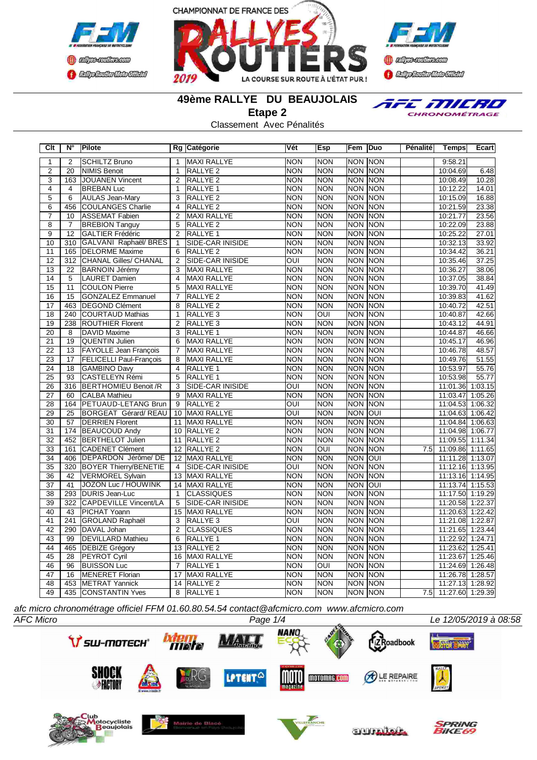





TFE MILRO CHRONOMÉTRAGE

**49ème RALLYE DU BEAUJOLAIS**

**Etape 2**

Classement Avec Pénalités

| Clt             | N°              | Pilote                         |                 | Rg Catégorie            | Vét                     | Esp            | Fem Duo          |             | Pénalité | <b>Temps</b>         | Ecart   |
|-----------------|-----------------|--------------------------------|-----------------|-------------------------|-------------------------|----------------|------------------|-------------|----------|----------------------|---------|
| 1               | 2               | <b>SCHILTZ Bruno</b>           | 1               | MAXI RALLYE             | <b>NON</b>              | <b>NON</b>     | <b>NON NON</b>   |             |          | 9:58.21              |         |
| $\overline{2}$  | 20              | <b>NIMIS Benoit</b>            | $\mathbf{1}$    | RALLYE <sub>2</sub>     | <b>NON</b>              | <b>NON</b>     | <b>NON NON</b>   |             |          | 10:04.69             | 6.48    |
| $\overline{3}$  | 163             | JOUANEN Vincent                | 2               | RALLYE <sub>2</sub>     | <b>NON</b>              | <b>NON</b>     | <b>NON NON</b>   |             |          | 10:08.49             | 10.28   |
| $\overline{4}$  | $\overline{4}$  | <b>BREBAN Luc</b>              | $\mathbf{1}$    | RALLYE <sub>1</sub>     | <b>NON</b>              | <b>NON</b>     | <b>NON NON</b>   |             |          | 10:12.22             | 14.01   |
| $\overline{5}$  | 6               | <b>AULAS Jean-Mary</b>         | 3               | RALLYE <sub>2</sub>     | <b>NON</b>              | <b>NON</b>     | NON NON          |             |          | 10:15.09             | 16.88   |
| 6               | 456             | COULANGES Charlie              | $\overline{4}$  | RALLYE <sub>2</sub>     | <b>NON</b>              | <b>NON</b>     | <b>NON NON</b>   |             |          | 10:21.59             | 23.38   |
| $\overline{7}$  | 10              | <b>ASSEMAT Fabien</b>          | $\overline{2}$  | MAXI RALLYE             | <b>NON</b>              | <b>NON</b>     | NON NON          |             |          | 10:21.77             | 23.56   |
| $\overline{8}$  | $\overline{7}$  | <b>BREBION Tanguy</b>          | $\overline{5}$  | RALLYE <sub>2</sub>     | <b>NON</b>              | <b>NON</b>     | <b>NON NON</b>   |             |          | 10:22.09             | 23.88   |
| $\overline{9}$  | $\overline{12}$ | GALTIER Frédéric               | $\overline{2}$  | RALLYE <sub>1</sub>     | <b>NON</b>              | <b>NON</b>     | <b>NON NON</b>   |             |          | 10:25.22             | 27.01   |
| 10              | 310             | GALVANI Raphaël/ BRES          | $\overline{1}$  | SIDE-CAR INISIDE        | <b>NON</b>              | <b>NON</b>     | NON NON          |             |          | 10:32.13             | 33.92   |
| 11              | 165             | <b>DELORME</b> Maxime          | 6               | RALLYE <sub>2</sub>     | <b>NON</b>              | <b>NON</b>     | NON NON          |             |          | 10:34.42             | 36.21   |
| $\overline{12}$ | 312             | <b>CHANAL Gilles/ CHANAL</b>   | $\overline{2}$  | <b>SIDE-CAR INISIDE</b> | $\overline{\text{OUI}}$ | <b>NON</b>     | NON NON          |             |          | 10:35.46             | 37.25   |
| $\overline{13}$ | $\overline{22}$ | <b>BARNOIN Jérémy</b>          | 3               | <b>MAXI RALLYE</b>      | <b>NON</b>              | <b>NON</b>     | <b>NON</b>       | <b>NON</b>  |          | 10:36.27             | 38.06   |
| $\overline{14}$ | $\overline{5}$  | <b>LAURET Damien</b>           | $\overline{4}$  | MAXI RALLYE             | <b>NON</b>              | <b>NON</b>     | <b>NON NON</b>   |             |          | 10:37.05             | 38.84   |
| $\overline{15}$ | 11              | COULON Pierre                  | 5               | MAXI RALLYE             | <b>NON</b>              | <b>NON</b>     | <b>NON NON</b>   |             |          | 10:39.70             | 41.49   |
| 16              | 15              | <b>GONZALEZ Emmanuel</b>       | $\overline{7}$  | RALLYE <sub>2</sub>     | <b>NON</b>              | <b>NON</b>     | <b>NON NON</b>   |             |          | 10:39.83             | 41.62   |
| 17              | 463             | <b>IDEGOND Clément</b>         | 8               | <b>RALLYE 2</b>         | <b>NON</b>              | <b>NON</b>     | NON NON          |             |          | 10:40.72             | 42.51   |
| $\overline{18}$ | 240             | <b>COURTAUD Mathias</b>        | $\mathbf{1}$    | RALLYE <sub>3</sub>     | <b>NON</b>              | $\overline{O}$ | <b>NON NON</b>   |             |          | 10:40.87             | 42.66   |
| 19              | 238             | <b>ROUTHIER Florent</b>        | 2               | RALLYE <sub>3</sub>     | <b>NON</b>              | <b>NON</b>     | NON NON          |             |          | 10:43.12             | 44.91   |
| 20              | 8               | DAVID Maxime                   | 3               | RALLYE <sub>1</sub>     | <b>NON</b>              | <b>NON</b>     | NON NON          |             |          | 10:44.87             | 46.66   |
| $\overline{21}$ | 19              | <b>QUENTIN Julien</b>          | 6               | MAXI RALLYE             | <b>NON</b>              | <b>NON</b>     | NON NON          |             |          | 10:45.17             | 46.96   |
| $\overline{22}$ | $\overline{13}$ | <b>FAYOLLE Jean François</b>   | $\overline{7}$  | <b>MAXI RALLYE</b>      | <b>NON</b>              | <b>NON</b>     | <b>NON NON</b>   |             |          | 10:46.78             | 48.57   |
| $\overline{23}$ | $\overline{17}$ | <b>FELICELLI Paul-François</b> | $\overline{8}$  | <b>MAXI RALLYE</b>      | <b>NON</b>              | <b>NON</b>     | <b>NON NON</b>   |             |          | 10:49.76             | 51.55   |
| $\overline{24}$ | 18              | <b>GAMBINO Davy</b>            | $\overline{4}$  | RALLYE <sub>1</sub>     | <b>NON</b>              | <b>NON</b>     | <b>NON NON</b>   |             |          | 10:53.97             | 55.76   |
| $\overline{25}$ | $\overline{93}$ | CASTELEYN Rémi                 | 5               | RALLYE 1                | <b>NON</b>              | <b>NON</b>     | <b>NON</b>       | <b>NON</b>  |          | 10:53.98             | 55.77   |
| 26              | 316             | <b>BERTHOMIEU Benoit /R</b>    | 3               | SIDE-CAR INISIDE        | $\overline{\text{OUI}}$ | <b>NON</b>     | <b>NON NON</b>   |             |          | 11:01.36             | 1:03.15 |
| 27              | 60              | <b>CALBA Mathieu</b>           | 9               | <b>MAXI RALLYE</b>      | <b>NON</b>              | <b>NON</b>     | <b>NON</b>       | <b>INON</b> |          | 11:03.47             | 1:05.26 |
| $\overline{28}$ | 164             | <b>PETUAUD-LETANG Brun</b>     | $\overline{9}$  | <b>RALLYE 2</b>         | $\overline{\text{OUI}}$ | <b>NON</b>     | <b>NON NON</b>   |             |          | 11:04.53             | 1:06.32 |
| 29              | 25              | BORGEAT Gérard/REAU            |                 | 10 MAXI RALLYE          | $\overline{\text{OUI}}$ | <b>NON</b>     | <b>NON</b>       | loui        |          | 11:04.63             | 1:06.42 |
| 30              | 57              | <b>DERRIEN Florent</b>         |                 | 11 MAXI RALLYE          | <b>NON</b>              | <b>NON</b>     | NON NON          |             |          | 11:04.84 1:06.63     |         |
| 31              | 174             | <b>BEAUCOUD Andy</b>           |                 | 10 RALLYE 2             | <b>NON</b>              | <b>NON</b>     | NON NON          |             |          | 11:04.98 1:06.77     |         |
| 32              | 452             | <b>BERTHELOT Julien</b>        | 11              | RALLYE <sub>2</sub>     | <b>NON</b>              | <b>NON</b>     | <b>NON NON</b>   |             |          | 11:09.55 1:11.34     |         |
| 33              | 161             | <b>CADENET Clément</b>         |                 | 12 RALLYE 2             | <b>NON</b>              | OUI            | <b>NON NON</b>   |             | 7.5      | 11:09.86 1:11.65     |         |
| $\overline{34}$ | 406             | DEPARDON Jérôme/ DE            |                 | 12 MAXI RALLYE          | <b>NON</b>              | <b>NON</b>     | <b>NON OUI</b>   |             |          | 11:11.28 1:13.07     |         |
| 35              | 320             | <b>BOYER Thierry/BENETIE</b>   | $\overline{4}$  | SIDE-CAR INISIDE        | $\overline{\text{out}}$ | <b>NON</b>     | <b>NON</b>       | <b>NON</b>  |          | 11:12.16 1:13.95     |         |
| $\overline{36}$ | 42              | <b>VERMOREL Sylvain</b>        |                 | 13 MAXI RALLYE          | <b>NON</b>              | <b>NON</b>     | <b>NON NON</b>   |             |          | 11:13.16 1:14.95     |         |
| $\overline{37}$ | 41              | <b>JOZON Luc / HOUWINK</b>     | 14              | <b>MAXI RALLYE</b>      | <b>NON</b>              | <b>NON</b>     | NON OUI          |             |          | 11:13.74 1:15.53     |         |
| $\overline{38}$ | 293             | DURIS Jean-Luc                 | $\mathbf{1}$    | <b>CLASSIQUES</b>       | <b>NON</b>              | <b>NON</b>     | <b>NON NON</b>   |             |          | 11:17.50 1:19.29     |         |
| 39              | 322             | CAPDEVILLE Vincent/LA          | 5               | SIDE-CAR INISIDE        | <b>NON</b>              | <b>NON</b>     | <b>NON</b>       | <b>NON</b>  |          | 11:20.58 1:22.37     |         |
| 40              | 43              | PICHAT Yoann                   | $\overline{15}$ | <b>MAXI RALLYE</b>      | <b>NON</b>              | <b>NON</b>     | $\overline{NON}$ | <b>NON</b>  |          | 11:20.63 1:22.42     |         |
| 41              | 241             | <b>GROLAND Raphaël</b>         | 3               | RALLYE <sub>3</sub>     | OUI                     | <b>NON</b>     | NON NON          |             |          | 11:21.08 1:22.87     |         |
| $\overline{42}$ | 290             | DAVAL Johan                    | $\overline{2}$  | <b>CLASSIQUES</b>       | <b>NON</b>              | <b>NON</b>     | <b>NON NON</b>   |             |          | 11:21.65 1:23.44     |         |
| 43              | 99              | <b>DEVILLARD Mathieu</b>       | 6               | <b>RALLYE 1</b>         | <b>NON</b>              | <b>NON</b>     | <b>NON NON</b>   |             |          | 11:22.92             | 1:24.71 |
| 44              | 465             | <b>DEBIZE Grégory</b>          |                 | 13 RALLYE 2             | <b>NON</b>              | <b>NON</b>     | <b>NON NON</b>   |             |          | 11:23.62 1:25.41     |         |
| $\overline{45}$ | $\overline{28}$ | <b>PEYROT Cyril</b>            | $\overline{16}$ | <b>MAXI RALLYE</b>      | <b>NON</b>              | <b>NON</b>     | <b>NON NON</b>   |             |          | 11:23.67 1:25.46     |         |
| 46              | 96              | <b>BUISSON Luc</b>             | $\overline{7}$  | RALLYE <sub>1</sub>     | <b>NON</b>              | $\overline{O}$ | <b>NON NON</b>   |             |          | 11:24.69 1:26.48     |         |
| 47              | 16              | <b>MENERET Florian</b>         | 17              | <b>MAXI RALLYE</b>      | <b>NON</b>              | <b>NON</b>     | <b>NON NON</b>   |             |          | 11:26.78 1:28.57     |         |
| 48              | 453             | METRAT Yannick                 | $\overline{14}$ | RALLYE <sub>2</sub>     | <b>NON</b>              | <b>NON</b>     | <b>NON NON</b>   |             |          | 11:27.13 1:28.92     |         |
| 49              | 435             | <b>CONSTANTIN Yves</b>         | $\overline{8}$  | RALLYE <sub>1</sub>     | <b>NON</b>              | <b>NON</b>     | NON NON          |             |          | 7.5 11:27.60 1:29.39 |         |

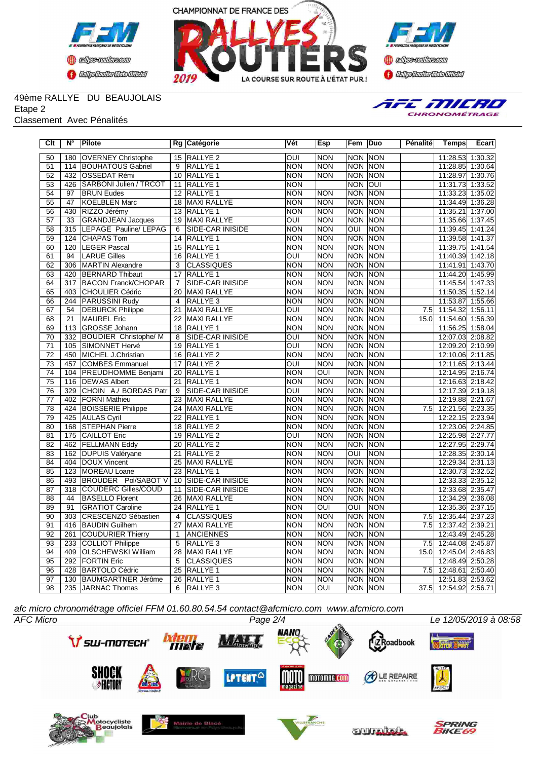





## 49ème RALLYE DU BEAUJOLAIS

Etape 2

Classement Avec Pénalités



| $\overline{C}$ lt | $N^{\circ}$      | <b>Pilote</b>                |                 | Rg Catégorie            | Vét                     | Esp              | Fem                     | Duo         | Pénalité         | <b>Temps</b>     | <b>Ecart</b> |
|-------------------|------------------|------------------------------|-----------------|-------------------------|-------------------------|------------------|-------------------------|-------------|------------------|------------------|--------------|
| 50                | 180              | <b>OVERNEY Christophe</b>    |                 | 15 RALLYE 2             | $\overline{\text{OUI}}$ | <b>NON</b>       | <b>NON</b>              | <b>NON</b>  |                  | 11:28.53         | 1:30.32      |
| 51                | 114              | <b>BOUHATOUS Gabriel</b>     | 9               | <b>RALLYE 1</b>         | <b>NON</b>              | <b>NON</b>       | <b>NON</b>              | <b>NON</b>  |                  | 11:28.85         | 1:30.64      |
| 52                | 432              | <b>OSSEDAT Rémi</b>          |                 | 10 RALLYE 1             | <b>NON</b>              | <b>NON</b>       | <b>NON</b>              | <b>NON</b>  |                  | 11:28.97 1:30.76 |              |
| 53                | 426              | SARBONI Julien / TRCOT       |                 | 11 RALLYE 1             | NON                     |                  | <b>NON</b>              | loui        |                  | 11:31.73 1:33.52 |              |
| 54                | 97               | <b>BRUN Eudes</b>            |                 | 12 RALLYE 1             | NON                     | <b>NON</b>       | <b>NON</b>              | <b>NON</b>  |                  | 11:33.23         | 1:35.02      |
| 55                | 47               | <b>KOELBLEN Marc</b>         |                 | 18 MAXI RALLYE          | <b>NON</b>              | <b>NON</b>       | <b>NON</b>              | <b>NON</b>  |                  | 11:34.49         | 1:36.28      |
| 56                | 430              | RIZZO Jérémy                 |                 | 13 RALLYE 1             | NON                     | <b>NON</b>       | <b>NON</b>              | <b>NON</b>  |                  | 11:35.21         | 1:37.00      |
| 57                | 33               | <b>GRANDJEAN Jacques</b>     | 19              | MAXI RALLYE             | OUI                     | <b>NON</b>       | <b>NON</b>              | <b>NON</b>  |                  | 11:35.66         | 1:37.45      |
| 58                | 315              | LEPAGE Pauline/ LEPAG        | 6               | <b>SIDE-CAR INISIDE</b> | $\overline{NON}$        | <b>NON</b>       | OUI                     | <b>NON</b>  |                  | 11:39.45         | 1:41.24      |
| 59                | 124              | <b>CHAPAS Tom</b>            | 14              | <b>RALLYE 1</b>         | NON                     | <b>NON</b>       | <b>NON</b>              | <b>NON</b>  |                  | 11:39.58         | 1:41.37      |
| 60                | 120              | <b>LEGER Pascal</b>          |                 | 15 RALLYE 1             | NON                     | <b>NON</b>       | NON NON                 |             |                  | 11:39.75         | 1:41.54      |
| 61                | 94               | <b>LARUE Gilles</b>          | 16              | <b>RALLYE 1</b>         | OUI                     | <b>NON</b>       | <b>NON</b>              | <b>NON</b>  |                  | 11:40.39 1:42.18 |              |
| 62                | 306              | MARTIN Alexandre             | 3               | <b>CLASSIQUES</b>       | NON                     | <b>NON</b>       | <b>NON</b>              | <b>NON</b>  |                  | 11:41.91         | 1:43.70      |
| 63                | 420              | <b>BERNARD</b> Thibaut       | 17              | <b>RALLYE 1</b>         | <b>NON</b>              | <b>NON</b>       | <b>NON</b>              | <b>NON</b>  |                  | 11:44.20         | 1:45.99      |
| 64                | 317              | <b>BACON Franck/CHOPAR</b>   | $\overline{7}$  | SIDE-CAR INISIDE        | NON                     | <b>NON</b>       | NON NON                 |             |                  | 11:45.54         | 1.47.33      |
| 65                | 403              | <b>CHOULIER Cédric</b>       | 20              | <b>MAXI RALLYE</b>      | <b>NON</b>              | <b>NON</b>       | <b>NON</b>              | <b>NON</b>  |                  | 11:50.35         | 1:52.14      |
| 66                | 244              | <b>PARUSSINI Rudy</b>        | 4               | RALLYE <sub>3</sub>     | <b>NON</b>              | <b>NON</b>       | <b>NON</b>              | <b>NON</b>  |                  | 11:53.87         | 1:55.66      |
| 67                | 54               | <b>DEBURCK Philippe</b>      | $\overline{21}$ | <b>MAXI RALLYE</b>      | OUI                     | <b>NON</b>       | <b>NON</b>              | <b>NON</b>  | $\overline{7.5}$ | 11:54.32         | 1:56.11      |
| 68                | 21               | <b>MAUREL Eric</b>           |                 | 22 MAXI RALLYE          | $\overline{NON}$        | <b>NON</b>       | NON NON                 |             | 15.0             | 11:54.60 1:56.39 |              |
| 69                | 113              | <b>GROSSE Johann</b>         |                 | 18 RALLYE 1             | <b>NON</b>              | <b>NON</b>       | <b>NON</b>              | <b>INON</b> |                  | 11:56.25 1:58.04 |              |
| $\overline{70}$   | $\overline{332}$ | <b>BOUDIER Christophe/ M</b> | 8               | SIDE-CAR INISIDE        | OUI                     | <b>NON</b>       | <b>NON</b>              | <b>NON</b>  |                  | 12:07.03 2:08.82 |              |
| $\overline{71}$   | 105              | SIMONNET Hervé               |                 | 19 RALLYE 1             | oui                     | <b>NON</b>       | <b>NON</b>              | NON         |                  | 12:09.20 2:10.99 |              |
| $\overline{72}$   | 450              | MICHEL J.Christian           | $\overline{16}$ | <b>RALLYE 2</b>         | NON                     | <b>NON</b>       | <b>NON</b>              | <b>NON</b>  |                  | 12:10.06 2:11.85 |              |
| 73                | 457              | COMBES Emmanuel              | 17              | RALLYE <sub>2</sub>     | OUI                     | <b>NON</b>       | <b>NON</b>              | <b>INON</b> |                  | 12:11.65         | 2:13.44      |
| $\overline{74}$   | 104              | <b>PREUDHOMME Benjami</b>    | 20              | <b>RALLYE 1</b>         | NON                     | OUI              | <b>NON</b>              | <b>NON</b>  |                  | 12:14.95 2:16.74 |              |
| $\overline{75}$   | 116              | <b>IDEWAS Albert</b>         | 21              | <b>RALLYE 1</b>         | <b>NON</b>              | <b>NON</b>       | <b>NON</b>              | <b>INON</b> |                  | 12:16.63 2:18.42 |              |
| $\overline{76}$   | 329              | CHOIN A./ BORDAS Patr        | 9               | <b>SIDE-CAR INISIDE</b> | OUI                     | <b>NON</b>       | <b>NON</b>              | <b>INON</b> |                  | 12:17.39 2:19.18 |              |
| $\overline{77}$   | 402              | <b>FORNI Mathieu</b>         | $\overline{23}$ | <b>MAXI RALLYE</b>      | NON                     | <b>NON</b>       | <b>NON</b>              | <b>NON</b>  |                  | 12:19.88 2:21.67 |              |
| 78                | 424              | <b>BOISSERIE Philippe</b>    |                 | 24 MAXI RALLYE          | <b>NON</b>              | <b>NON</b>       | <b>NON</b>              | <b>NON</b>  | 7.5              | 12:21.56 2:23.35 |              |
| $\overline{79}$   | 425              | <b>AULAS Cyril</b>           | $\overline{22}$ | RALLYE 1                | <b>NON</b>              | <b>NON</b>       | <b>NON</b>              | <b>NON</b>  |                  | 12:22.15 2:23.94 |              |
| 80                | 168              | <b>STEPHAN Pierre</b>        | $\overline{18}$ | RALLYE <sub>2</sub>     | $\overline{NON}$        | <b>NON</b>       | <b>NON</b>              | <b>NON</b>  |                  | 12:23.06 2:24.85 |              |
| $\overline{81}$   | 175              | <b>CAILLOT Eric</b>          | $\overline{19}$ | <b>RALLYE 2</b>         | oui                     | <b>NON</b>       | <b>NON</b>              | <b>NON</b>  |                  | 12:25.98         | 2:27.77      |
| 82                | 462              | <b>FELLMANN Eddy</b>         | 20              | RALLYE <sub>2</sub>     | <b>NON</b>              | <b>NON</b>       | <b>NON</b>              | <b>INON</b> |                  | 12:27.95         | 2:29.74      |
| 83                | 162              | <b>DUPUIS Valéryane</b>      | 21              | RALLYE <sub>2</sub>     | <b>NON</b>              | <b>NON</b>       | <b>OUI</b>              | <b>NON</b>  |                  | 12:28.35         | 2:30.14      |
| 84                | 404              | DOUX Vincent                 | 25              | <b>MAXI RALLYE</b>      | NON                     | <b>NON</b>       | <b>NON</b>              | <b>NON</b>  |                  | 12:29.34         | 2:31.13      |
| 85                | 123              | MOREAU Loane                 |                 | 23 RALLYE 1             | <b>NON</b>              | <b>NON</b>       | <b>NON</b>              | <b>NON</b>  |                  | 12:30.73         | 2:32.52      |
| 86                | 493              | BROUDER Pol/SABOT V          |                 | 10 SIDE-CAR INISIDE     | <b>NON</b>              | <b>NON</b>       | <b>NON</b>              | <b>NON</b>  |                  | 12:33.33 2:35.12 |              |
| 87                | $\overline{318}$ | COUDERC Gilles/COUD          |                 | 11 SIDE-CAR INISIDE     | <b>NON</b>              | <b>NON</b>       | <b>NON</b>              | <b>NON</b>  |                  | 12:33.68 2:35.47 |              |
| 88                | 44               | <b>BASELLO Florent</b>       |                 | 26 MAXI RALLYE          | $\overline{NON}$        | <b>NON</b>       | <b>NON</b>              | <b>NON</b>  |                  | 12:34.29         | 2:36.08      |
| 89                | 91               | <b>GRATIOT Caroline</b>      |                 | 24 RALLYE 1             | <b>NON</b>              | $\overline{OUI}$ | $\overline{\text{OUI}}$ | <b>NON</b>  |                  | 12:35.36         | 2:37.15      |
| 90                | 303              | CRESCENZO Sébastien          | $\overline{4}$  | <b>CLASSIQUES</b>       | <b>NON</b>              | <b>NON</b>       | <b>NON</b>              | <b>NON</b>  | $\overline{7.5}$ | 12:35.44         | 2:37.23      |
| $\overline{91}$   | 416              | <b>BAUDIN Guilhem</b>        | $\overline{27}$ | <b>MAXI RALLYE</b>      | $\overline{NON}$        | <b>NON</b>       | <b>NON</b>              | <b>NON</b>  | $\overline{7.5}$ | 12:37.42 2:39.21 |              |
| 92                | 261              | <b>COUDURIER Thierry</b>     | $\mathbf{1}$    | ANCIENNES               | <b>NON</b>              | <b>NON</b>       | <b>NON</b>              | <b>NON</b>  |                  | 12:43.49 2:45.28 |              |
| 93                | 233              | COLLIOT Philippe             | 5               | RALLYE 3                | NON                     | <b>NON</b>       | <b>NON</b>              | <b>NON</b>  | 7.5              | 12:44.08 2:45.87 |              |
| 94                | 409              | <b>OLSCHEWSKI William</b>    | $\overline{28}$ | MAXI RALLYE             | NON                     | <b>NON</b>       | <b>NON NON</b>          |             | 15.0             | 12:45.04 2:46.83 |              |
| 95                | 292              | <b>FORTIN Eric</b>           | 5               | <b>CLASSIQUES</b>       | <b>NON</b>              | <b>NON</b>       | <b>NON</b>              | <b>NON</b>  |                  | 12:48.49 2:50.28 |              |
| 96                | 428              | <b>BARTOLO Cédric</b>        | $\overline{25}$ | RALLYE 1                | <b>NON</b>              | <b>NON</b>       | <b>NON</b>              | NON         | 7.5              | 12:48.61         | 2:50.40      |
| 97                | 130              | <b>BAUMGARTNER Jérôme</b>    | $\overline{26}$ | RALLYE <sub>1</sub>     | <b>NON</b>              | <b>NON</b>       | <b>NON</b>              | <b>NON</b>  |                  | 12:51.83 2:53.62 |              |
| 98                | 235              | JARNAC Thomas                | 6               | RALLYE <sub>3</sub>     | <b>NON</b>              | $\overline{O}$   | NON NON                 |             | 37.5             | 12:54.92 2:56.71 |              |

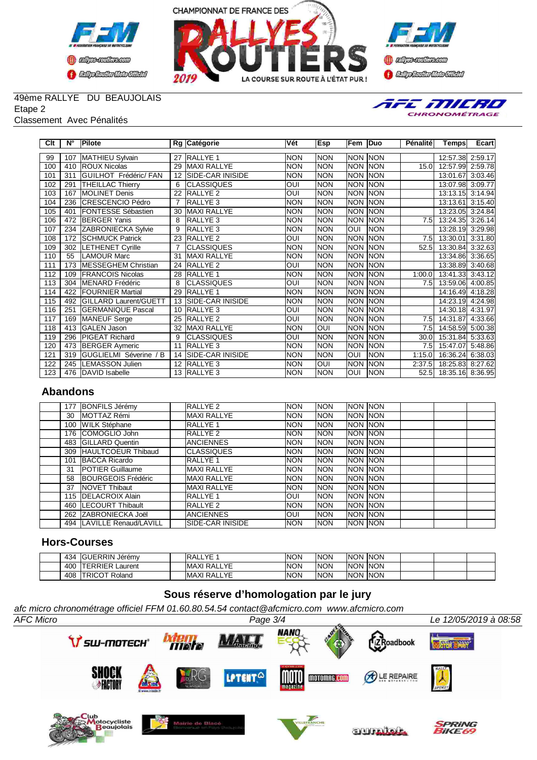





## 49ème RALLYE DU BEAUJOLAIS

Etape 2

#### Classement Avec Pénalités



| Clt | $N^{\circ}$ | Pilote                       |                | Rg Catégorie            | Vét        | Esp        | Fem            | Duo         | Pénalité          | Tempsl           | Ecart                |
|-----|-------------|------------------------------|----------------|-------------------------|------------|------------|----------------|-------------|-------------------|------------------|----------------------|
|     |             |                              |                |                         |            |            |                |             |                   |                  |                      |
| 99  | 107         | MATHIEU Sylvain              | 27             | <b>RALLYE 1</b>         | <b>NON</b> | <b>NON</b> | <b>NON</b>     | <b>NON</b>  |                   | 12:57.38         | 2:59.17              |
| 100 | 410         | <b>ROUX Nicolas</b>          | 29             | MAXI RALLYE             | <b>NON</b> | <b>NON</b> | <b>NON</b>     | <b>NON</b>  | 15.0              | 12:57.99         | 2:59.78              |
| 101 | 311         | <b>GUILHOT Frédéric/ FAN</b> | 12             | <b>SIDE-CAR INISIDE</b> | <b>NON</b> | <b>NON</b> | <b>NON NON</b> |             |                   | 13:01.67         | 3:03.46              |
| 102 | 291         | <b>THEILLAC Thierry</b>      | 6              | <b>CLASSIQUES</b>       | <b>OUI</b> | <b>NON</b> | <b>NON</b>     | <b>NON</b>  |                   | 13:07.98 3:09.77 |                      |
| 103 | 167         | <b>IMOLINET Denis</b>        | 22             | RALLYE <sub>2</sub>     | <b>OUI</b> | <b>NON</b> | <b>NON</b>     | <b>NON</b>  |                   | 13:13.15 3:14.94 |                      |
| 104 | 236         | CRESCENCIO Pédro             | $\overline{7}$ | <b>RALLYE 3</b>         | <b>NON</b> | <b>NON</b> | <b>NON</b>     | <b>NON</b>  |                   | 13:13.61         | 3:15.40              |
| 105 | 401         | <b>IFONTESSE Sébastien</b>   | 30             | <b>MAXI RALLYE</b>      | <b>NON</b> | <b>NON</b> | <b>NON</b>     | <b>INON</b> |                   | 13:23.05         | 3:24.84              |
| 106 | 472         | <b>BERGER Yanis</b>          | 8              | <b>RALLYE 3</b>         | <b>NON</b> | <b>NON</b> | NON NON        |             | 7.5               | 13:24.35 3:26.14 |                      |
| 107 | 234         | <b>ZABRONIECKA Sylvie</b>    | 9              | <b>RALLYE 3</b>         | <b>NON</b> | <b>NON</b> | <b>OUI</b>     | <b>NON</b>  |                   | 13:28.19 3:29.98 |                      |
| 108 | 172         | <b>SCHMUCK Patrick</b>       | 23             | <b>RALLYE 2</b>         | OUI        | <b>NON</b> | <b>NON</b>     | <b>NON</b>  | 7.5               | 13:30.01         | 3:31.80              |
| 109 | 302         | <b>LETHENET Cyrille</b>      |                | <b>CLASSIQUES</b>       | <b>NON</b> | <b>NON</b> | <b>NON</b>     | <b>NON</b>  | 52.5              | 13:30.84 3:32.63 |                      |
| 110 | 55          | <b>LAMOUR Marc</b>           | 31             | <b>MAXI RALLYE</b>      | <b>NON</b> | <b>NON</b> | <b>NON</b>     | <b>INON</b> |                   | 13:34.86 3:36.65 |                      |
| 111 | 173         | MESSEGHEM Christian          | 24             | <b>RALLYE 2</b>         | <b>OUI</b> | <b>NON</b> | <b>NON NON</b> |             |                   | 13:38.89 3:40.68 |                      |
| 112 | 109         | <b>FRANCOIS Nicolas</b>      | 28             | <b>RALLYE 1</b>         | <b>NON</b> | <b>NON</b> | NON NON        |             | 1:00.0            | 13:41.33 3:43.12 |                      |
| 113 | 304         | MENARD Frédéric              | 8              | <b>CLASSIQUES</b>       | <b>OUI</b> | <b>NON</b> | NON NON        |             | 7.5I              | 13:59.06 4:00.85 |                      |
| 114 | 422         | <b>FOURNIER Martial</b>      | 29             | <b>RALLYE 1</b>         | <b>NON</b> | <b>NON</b> | NON NON        |             |                   | 14:16.49 4:18.28 |                      |
| 115 | 492         | <b>GILLARD Laurent/GUETT</b> |                | 13 SIDE-CAR INISIDE     | <b>NON</b> | <b>NON</b> | <b>NON</b>     | <b>NON</b>  |                   | 14:23.19         | 4:24.98              |
| 116 | 251         | <b>GERMANIQUE Pascal</b>     |                | 10 RALLYE 3             | OUI        | <b>NON</b> | <b>NON NON</b> |             |                   | 14:30.18 4:31.97 |                      |
| 117 | 169         | <b>MANEUF</b> Serge          | 25             | <b>RALLYE 2</b>         | <b>OUI</b> | <b>NON</b> | NON NON        |             | 7.5               | 14:31.87         | 4:33.66              |
| 118 | 413         | GALEN Jason                  |                | 32 MAXI RALLYE          | <b>NON</b> | OUI        | <b>NON NON</b> |             | 7.5 <sub>1</sub>  | 14:58.59 5:00.38 |                      |
| 119 | 296         | <b>PIGEAT Richard</b>        | 9              | <b>CLASSIQUES</b>       | <b>OUI</b> | <b>NON</b> | NON NON        |             | 30.0 <sub>l</sub> | 15:31.84         | $\overline{5:33.63}$ |
| 120 | 473         | <b>BERGER Aymeric</b>        | 11             | RALLYE <sub>3</sub>     | <b>NON</b> | <b>NON</b> | <b>NON</b>     | <b>NON</b>  | 7.5               | 15:47.07 5:48.86 |                      |
| 121 | 319         | GUGLIELMI Séverine / B       |                | 14 SIDE-CAR INISIDE     | <b>NON</b> | <b>NON</b> | <b>OUI</b>     | <b>NON</b>  | 1:15.0            | 16:36.24         | 6:38.03              |
| 122 | 245         | <b>LEMASSON Julien</b>       |                | 12 RALLYE 3             | <b>NON</b> | OUI        | <b>NON</b>     | <b>NON</b>  | 2:37.5            | 18:25.83 8:27.62 |                      |
| 123 |             | 476 DAVID Isabelle           |                | 13 RALLYE 3             | <b>NON</b> | <b>NON</b> | OUI            | <b>NON</b>  | 52.5              | 18:35.16 8:36.95 |                      |

### **Abandons**

| 177 | <b>BONFILS Jérémy</b>       | RALLYE 2            | <b>INON</b> | <b>NON</b> | Inon Inon      |  |  |
|-----|-----------------------------|---------------------|-------------|------------|----------------|--|--|
| 30  | <b>MOTTAZ Rémi</b>          | MAXI RALLYE         | <b>INON</b> | <b>NON</b> | <b>NON NON</b> |  |  |
| 100 | <b>WILK Stéphane</b>        | <b>RALLYE 1</b>     | <b>INON</b> | <b>NON</b> | Inon Inon      |  |  |
| 176 | <b>ICOMOGLIO John</b>       | RALLYE 2            | <b>INON</b> | <b>NON</b> | Inon Inon      |  |  |
| 483 | <b>IGILLARD Quentin</b>     | <b>IANCIENNES</b>   | <b>INON</b> | <b>NON</b> | Inon Inon      |  |  |
| 309 | <b>HAULTCOEUR Thibaud</b>   | <b>ICLASSIQUES</b>  | <b>INON</b> | <b>NON</b> | Inon Inon      |  |  |
| 101 | <b>BACCA Ricardo</b>        | <b>IRALLYE 1</b>    | <b>INON</b> | <b>NON</b> | NON INON       |  |  |
| 31  | <b>IPOTIER Guillaume</b>    | <b>MAXI RALLYE</b>  | <b>INON</b> | <b>NON</b> | Inon Inon      |  |  |
| 58  | <b>BOURGEOIS Frédéric</b>   | <b>IMAXI RALLYE</b> | <b>INON</b> | <b>NON</b> | <b>NON NON</b> |  |  |
| 37  | <b>INOVET Thibaut</b>       | <b>MAXI RALLYE</b>  | <b>INON</b> | <b>NON</b> | Inon Inon      |  |  |
|     | 115 <b>IDELACROIX Alain</b> | <b>RALLYE 1</b>     | IOUI        | <b>NON</b> | Inon Inon      |  |  |
| 460 | <b>ILECOURT Thibault</b>    | <b>IRALLYE 2</b>    | <b>INON</b> | <b>NON</b> | Inon Inon      |  |  |
| 262 | <b>ZABRONIECKA Joël</b>     | <b>IANCIENNES</b>   | loui        | <b>NON</b> | Inon Inon      |  |  |
|     | 494 ILAVILLE Renaud/LAVILL  | ISIDE-CAR INISIDE   | <b>INON</b> | <b>NON</b> | Inon Inon      |  |  |

## **Hors-Courses**

| 434 | IGUERRIN Jérémy            | VE.<br>IR A.<br>ALL.<br>. . | INON | <b>NON</b> | <b>INON</b> | <b>INON</b> |  |  |
|-----|----------------------------|-----------------------------|------|------------|-------------|-------------|--|--|
| 400 | <b>ITERRIER</b><br>Laurent | <b>IMAXI RALLYE</b>         | INON | <b>NON</b> | <b>INON</b> | <b>INON</b> |  |  |
| 408 | <b>ITRICOT Roland</b>      | RALLYE<br>IMAXI             | INON | <b>NON</b> | INON        | <b>INON</b> |  |  |

# **Sous réserve d'homologation par le jury**